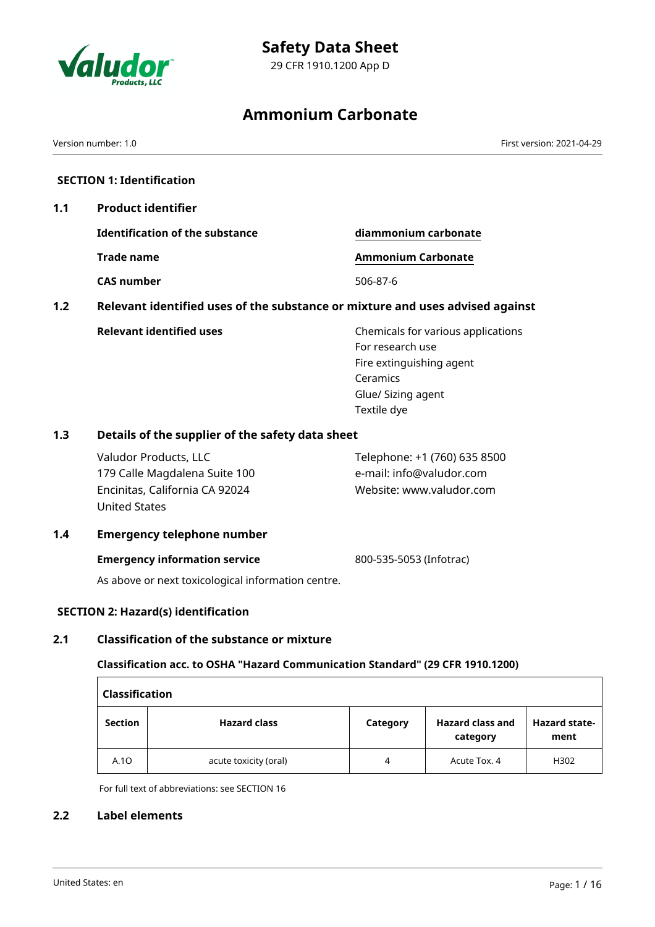



29 CFR 1910.1200 App D

# **Ammonium Carbonate**

Version number: 1.0 First version: 2021-04-29

# **SECTION 1: Identification**

**1.1 Product identifier**

**Identification of the substance diammonium carbonate Trade name <b>Ammonium Carbonate** 

**CAS number** 506-87-6

**1.2 Relevant identified uses of the substance or mixture and uses advised against**

**Relevant identified uses** Chemicals for various applications For research use Fire extinguishing agent Ceramics Glue/ Sizing agent Textile dye

# **1.3 Details of the supplier of the safety data sheet**

Valudor Products, LLC 179 Calle Magdalena Suite 100 Encinitas, California CA 92024 United States Telephone: +1 (760) 635 8500 e-mail: info@valudor.com Website: www.valudor.com

#### **1.4 Emergency telephone number**

#### **Emergency information service** 800-535-5053 (Infotrac)

As above or next toxicological information centre.

# **SECTION 2: Hazard(s) identification**

# **2.1 Classification of the substance or mixture**

# **Classification acc. to OSHA "Hazard Communication Standard" (29 CFR 1910.1200)**

| <b>Classification</b> |                       |          |                                     |                              |
|-----------------------|-----------------------|----------|-------------------------------------|------------------------------|
| <b>Section</b>        | <b>Hazard class</b>   | Category | <b>Hazard class and</b><br>category | <b>Hazard state-</b><br>ment |
| A.10                  | acute toxicity (oral) | 4        | Acute Tox. 4                        | H302                         |

For full text of abbreviations: see SECTION 16

#### **2.2 Label elements**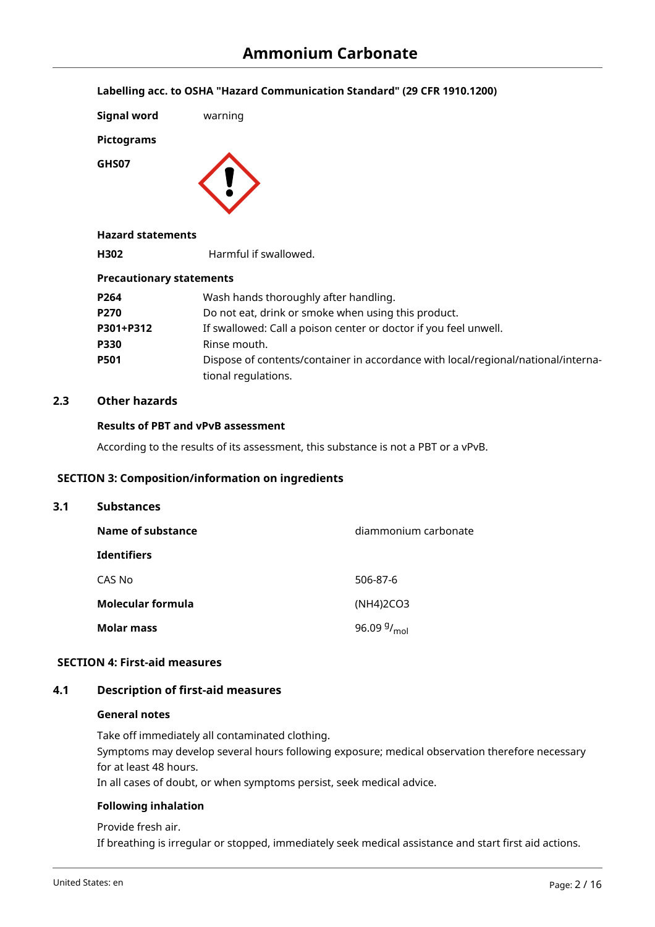**Labelling acc. to OSHA "Hazard Communication Standard" (29 CFR 1910.1200)**

| <b>Signal word</b> | warning |
|--------------------|---------|
| <b>Pictograms</b>  |         |
| GHS07              |         |

## **Hazard statements**

**H302** Harmful if swallowed.

#### **Precautionary statements**

| P264        | Wash hands thoroughly after handling.                                                                    |
|-------------|----------------------------------------------------------------------------------------------------------|
| P270        | Do not eat, drink or smoke when using this product.                                                      |
| P301+P312   | If swallowed: Call a poison center or doctor if you feel unwell.                                         |
| P330        | Rinse mouth.                                                                                             |
| <b>P501</b> | Dispose of contents/container in accordance with local/regional/national/interna-<br>tional regulations. |

## **2.3 Other hazards**

#### **Results of PBT and vPvB assessment**

According to the results of its assessment, this substance is not a PBT or a vPvB.

#### **SECTION 3: Composition/information on ingredients**

| 3.1 | <b>Substances</b>        |                         |  |  |  |
|-----|--------------------------|-------------------------|--|--|--|
|     | Name of substance        | diammonium carbonate    |  |  |  |
|     | <b>Identifiers</b>       |                         |  |  |  |
|     | CAS No                   | 506-87-6                |  |  |  |
|     | <b>Molecular formula</b> | (NH4)2CO3               |  |  |  |
|     | Molar mass               | 96.09 $9/_{\text{mol}}$ |  |  |  |

#### **SECTION 4: First-aid measures**

#### **4.1 Description of first-aid measures**

#### **General notes**

Take off immediately all contaminated clothing. Symptoms may develop several hours following exposure; medical observation therefore necessary for at least 48 hours. In all cases of doubt, or when symptoms persist, seek medical advice.

#### **Following inhalation**

Provide fresh air. If breathing is irregular or stopped, immediately seek medical assistance and start first aid actions.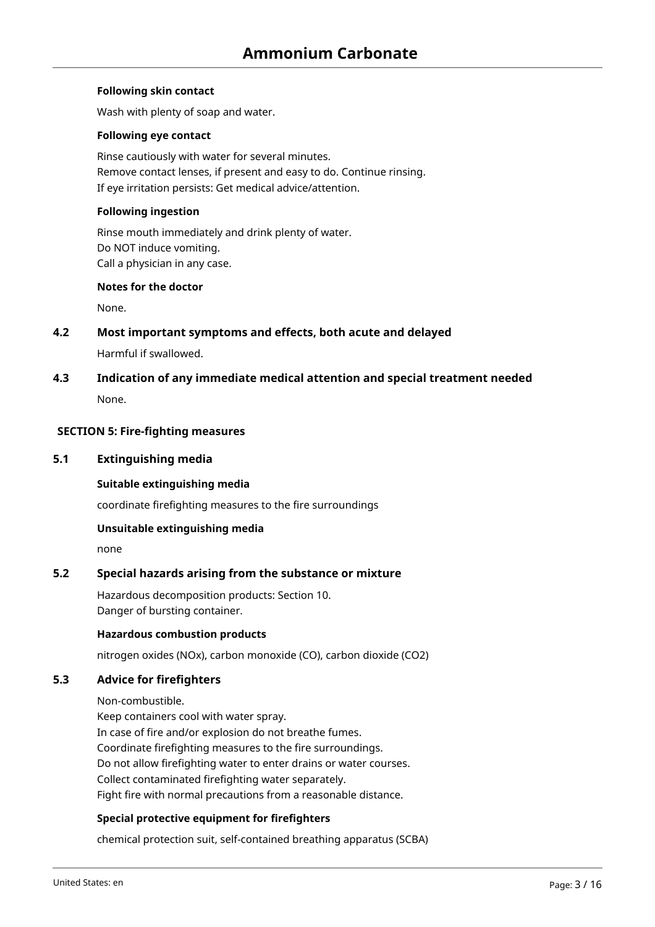#### **Following skin contact**

Wash with plenty of soap and water.

#### **Following eye contact**

Rinse cautiously with water for several minutes. Remove contact lenses, if present and easy to do. Continue rinsing. If eye irritation persists: Get medical advice/attention.

## **Following ingestion**

Rinse mouth immediately and drink plenty of water. Do NOT induce vomiting. Call a physician in any case.

#### **Notes for the doctor**

None.

#### **4.2 Most important symptoms and effects, both acute and delayed**

Harmful if swallowed.

**4.3 Indication of any immediate medical attention and special treatment needed** None.

#### **SECTION 5: Fire-fighting measures**

#### **5.1 Extinguishing media**

**Suitable extinguishing media**

coordinate firefighting measures to the fire surroundings

#### **Unsuitable extinguishing media**

none

# **5.2 Special hazards arising from the substance or mixture**

Hazardous decomposition products: Section 10. Danger of bursting container.

#### **Hazardous combustion products**

nitrogen oxides (NOx), carbon monoxide (CO), carbon dioxide (CO2)

## **5.3 Advice for firefighters**

Non-combustible.

Keep containers cool with water spray. In case of fire and/or explosion do not breathe fumes. Coordinate firefighting measures to the fire surroundings. Do not allow firefighting water to enter drains or water courses. Collect contaminated firefighting water separately. Fight fire with normal precautions from a reasonable distance.

#### **Special protective equipment for firefighters**

chemical protection suit, self-contained breathing apparatus (SCBA)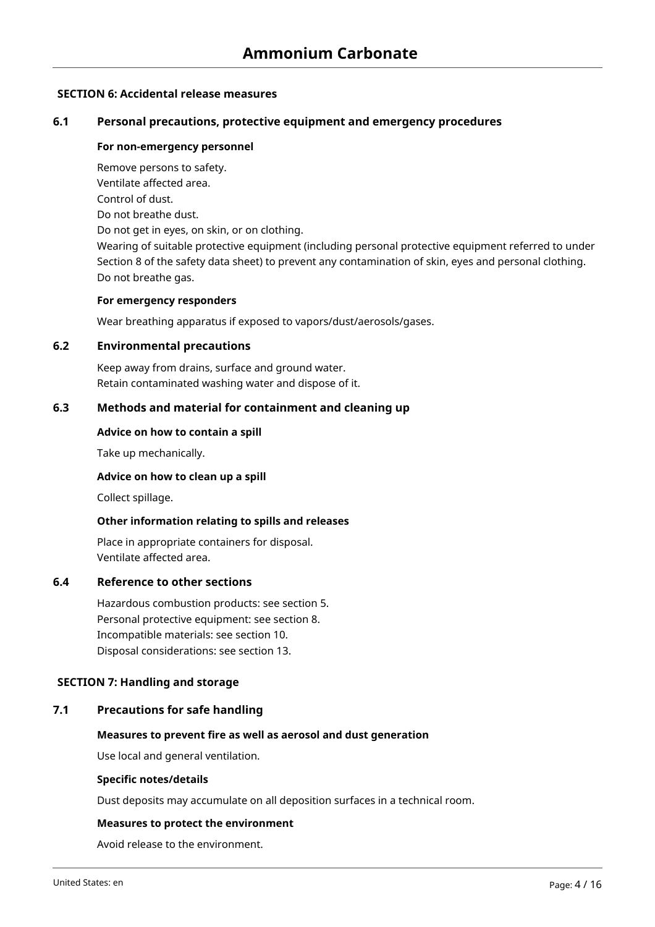## **SECTION 6: Accidental release measures**

# **6.1 Personal precautions, protective equipment and emergency procedures**

#### **For non-emergency personnel**

Remove persons to safety.

Ventilate affected area. Control of dust.

Do not breathe dust.

Do not get in eyes, on skin, or on clothing.

Wearing of suitable protective equipment (including personal protective equipment referred to under Section 8 of the safety data sheet) to prevent any contamination of skin, eyes and personal clothing. Do not breathe gas.

#### **For emergency responders**

Wear breathing apparatus if exposed to vapors/dust/aerosols/gases.

#### **6.2 Environmental precautions**

Keep away from drains, surface and ground water. Retain contaminated washing water and dispose of it.

## **6.3 Methods and material for containment and cleaning up**

#### **Advice on how to contain a spill**

Take up mechanically.

#### **Advice on how to clean up a spill**

Collect spillage.

#### **Other information relating to spills and releases**

Place in appropriate containers for disposal. Ventilate affected area.

#### **6.4 Reference to other sections**

Hazardous combustion products: see section 5. Personal protective equipment: see section 8. Incompatible materials: see section 10. Disposal considerations: see section 13.

#### **SECTION 7: Handling and storage**

#### **7.1 Precautions for safe handling**

#### **Measures to prevent fire as well as aerosol and dust generation**

Use local and general ventilation.

#### **Specific notes/details**

Dust deposits may accumulate on all deposition surfaces in a technical room.

#### **Measures to protect the environment**

Avoid release to the environment.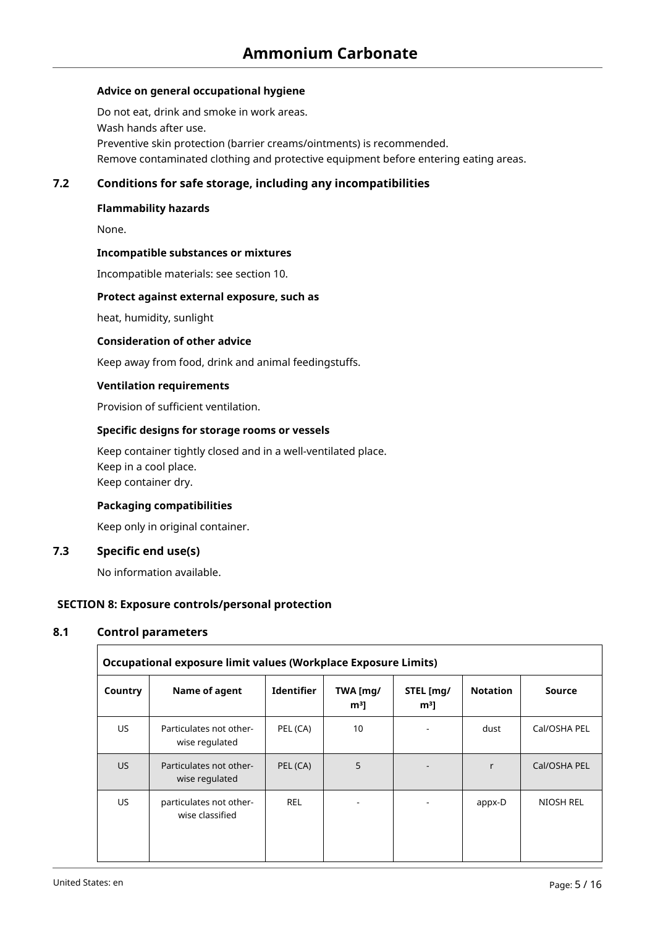#### **Advice on general occupational hygiene**

Do not eat, drink and smoke in work areas. Wash hands after use. Preventive skin protection (barrier creams/ointments) is recommended. Remove contaminated clothing and protective equipment before entering eating areas.

#### **7.2 Conditions for safe storage, including any incompatibilities**

#### **Flammability hazards**

None.

#### **Incompatible substances or mixtures**

Incompatible materials: see section 10.

#### **Protect against external exposure, such as**

heat, humidity, sunlight

#### **Consideration of other advice**

Keep away from food, drink and animal feedingstuffs.

#### **Ventilation requirements**

Provision of sufficient ventilation.

#### **Specific designs for storage rooms or vessels**

Keep container tightly closed and in a well-ventilated place. Keep in a cool place. Keep container dry.

#### **Packaging compatibilities**

Keep only in original container.

#### **7.3 Specific end use(s)**

No information available.

#### **SECTION 8: Exposure controls/personal protection**

## **8.1 Control parameters**

|         | Occupational exposure limit values (Workplace Exposure Limits) |                   |                            |                             |                 |               |
|---------|----------------------------------------------------------------|-------------------|----------------------------|-----------------------------|-----------------|---------------|
| Country | Name of agent                                                  | <b>Identifier</b> | TWA [mg/<br>m <sup>3</sup> | STEL [mg/<br>m <sup>3</sup> | <b>Notation</b> | <b>Source</b> |
| US.     | Particulates not other-<br>wise regulated                      | PEL (CA)          | 10                         |                             | dust            | Cal/OSHA PEL  |
| US.     | Particulates not other-<br>wise regulated                      | PEL (CA)          | 5                          |                             | r               | Cal/OSHA PEL  |
| US.     | particulates not other-<br>wise classified                     | <b>REL</b>        |                            |                             | appx-D          | NIOSH REL     |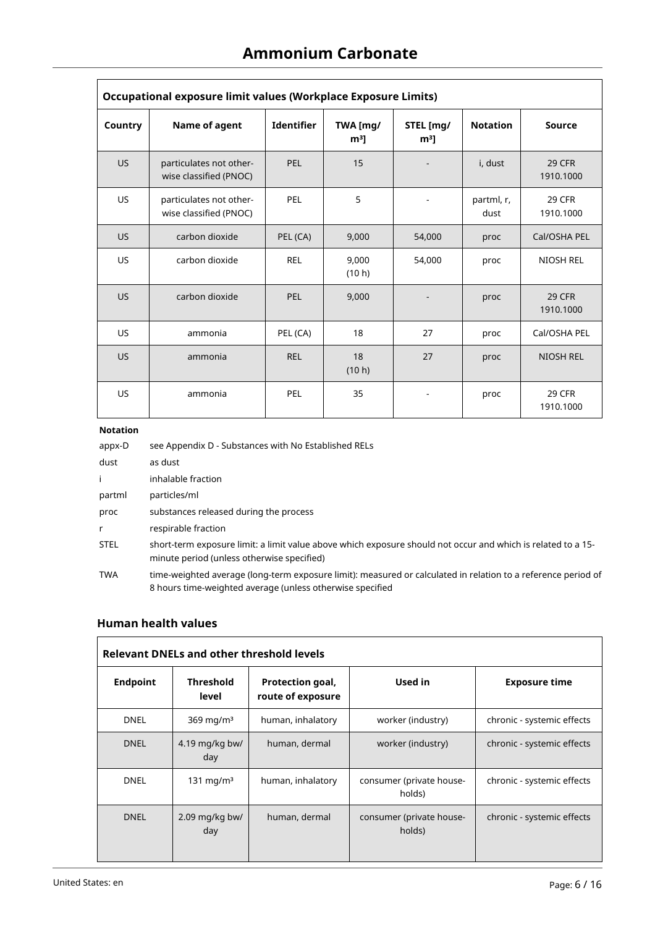| Occupational exposure limit values (Workplace Exposure Limits) |                                                   |                   |                            |                             |                    |                            |
|----------------------------------------------------------------|---------------------------------------------------|-------------------|----------------------------|-----------------------------|--------------------|----------------------------|
| Country                                                        | Name of agent                                     | <b>Identifier</b> | TWA [mg/<br>m <sup>3</sup> | STEL [mg/<br>m <sup>3</sup> | <b>Notation</b>    | <b>Source</b>              |
| <b>US</b>                                                      | particulates not other-<br>wise classified (PNOC) | PEL               | 15                         |                             | i, dust            | 29 CFR<br>1910.1000        |
| <b>US</b>                                                      | particulates not other-<br>wise classified (PNOC) | PEL               | 5                          |                             | partml, r,<br>dust | 29 CFR<br>1910.1000        |
| <b>US</b>                                                      | carbon dioxide                                    | PEL (CA)          | 9,000                      | 54,000                      | proc               | Cal/OSHA PEL               |
| <b>US</b>                                                      | carbon dioxide                                    | <b>REL</b>        | 9,000<br>(10 h)            | 54.000                      | proc               | <b>NIOSH REL</b>           |
| <b>US</b>                                                      | carbon dioxide                                    | <b>PEL</b>        | 9,000                      |                             | proc               | <b>29 CFR</b><br>1910.1000 |
| <b>US</b>                                                      | ammonia                                           | PEL (CA)          | 18                         | 27                          | proc               | Cal/OSHA PEL               |
| <b>US</b>                                                      | ammonia                                           | <b>REL</b>        | 18<br>(10 h)               | 27                          | proc               | <b>NIOSH REL</b>           |
| <b>US</b>                                                      | ammonia                                           | <b>PEL</b>        | 35                         |                             | proc               | <b>29 CFR</b><br>1910.1000 |

## **Notation**

| appx-D      | see Appendix D - Substances with No Established RELs                                                                                                                       |
|-------------|----------------------------------------------------------------------------------------------------------------------------------------------------------------------------|
| dust        | as dust                                                                                                                                                                    |
| Ť.          | inhalable fraction                                                                                                                                                         |
| partml      | particles/ml                                                                                                                                                               |
| proc        | substances released during the process                                                                                                                                     |
| r           | respirable fraction                                                                                                                                                        |
| <b>STEL</b> | short-term exposure limit: a limit value above which exposure should not occur and which is related to a 15-<br>minute period (unless otherwise specified)                 |
| <b>TWA</b>  | time-weighted average (long-term exposure limit): measured or calculated in relation to a reference period of<br>8 hours time-weighted average (unless otherwise specified |

# **Human health values**

|                 | <b>Relevant DNELs and other threshold levels</b> |                                       |                                    |                            |  |
|-----------------|--------------------------------------------------|---------------------------------------|------------------------------------|----------------------------|--|
| <b>Endpoint</b> | <b>Threshold</b><br>level                        | Protection goal,<br>route of exposure | Used in                            | <b>Exposure time</b>       |  |
| <b>DNEL</b>     | 369 mg/m $3$                                     | human, inhalatory                     | worker (industry)                  | chronic - systemic effects |  |
| <b>DNEL</b>     | 4.19 mg/kg bw/<br>day                            | human, dermal                         | worker (industry)                  | chronic - systemic effects |  |
| <b>DNEL</b>     | 131 mg/m $3$                                     | human, inhalatory                     | consumer (private house-<br>holds) | chronic - systemic effects |  |
| <b>DNEL</b>     | $2.09$ mg/kg bw/<br>day                          | human, dermal                         | consumer (private house-<br>holds) | chronic - systemic effects |  |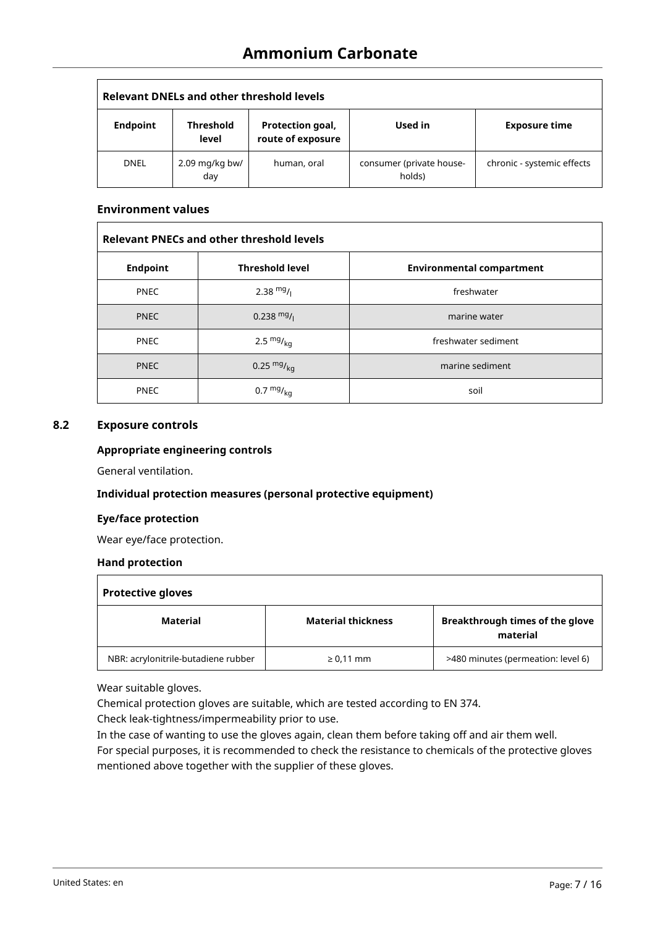| Relevant DNELs and other threshold levels |                         |                                       |                                    |                            |
|-------------------------------------------|-------------------------|---------------------------------------|------------------------------------|----------------------------|
| <b>Endpoint</b>                           | Threshold<br>level      | Protection goal,<br>route of exposure | Used in                            | <b>Exposure time</b>       |
| <b>DNEL</b>                               | $2.09$ mg/kg bw/<br>day | human, oral                           | consumer (private house-<br>holds) | chronic - systemic effects |

#### **Environment values**

 $\Gamma$ 

| <b>Relevant PNECs and other threshold levels</b> |                        |                                  |  |
|--------------------------------------------------|------------------------|----------------------------------|--|
| <b>Endpoint</b>                                  | <b>Threshold level</b> | <b>Environmental compartment</b> |  |
| <b>PNEC</b>                                      | 2.38 $mg/1$            | freshwater                       |  |
| <b>PNEC</b>                                      | $0.238 \text{ mg}/1$   | marine water                     |  |
| <b>PNEC</b>                                      | 2.5 $mg/kg$            | freshwater sediment              |  |
| <b>PNEC</b>                                      | 0.25 $mg/kq$           | marine sediment                  |  |
| <b>PNEC</b>                                      | $0.7 \frac{mg}{kg}$    | soil                             |  |

## **8.2 Exposure controls**

#### **Appropriate engineering controls**

General ventilation.

#### **Individual protection measures (personal protective equipment)**

#### **Eye/face protection**

Wear eye/face protection.

#### **Hand protection**

| <b>Protective gloves</b>            |                           |                                             |  |  |
|-------------------------------------|---------------------------|---------------------------------------------|--|--|
| Material                            | <b>Material thickness</b> | Breakthrough times of the glove<br>material |  |  |
| NBR: acrylonitrile-butadiene rubber | $\geq 0.11$ mm            | >480 minutes (permeation: level 6)          |  |  |

Wear suitable gloves.

Chemical protection gloves are suitable, which are tested according to EN 374.

Check leak-tightness/impermeability prior to use.

In the case of wanting to use the gloves again, clean them before taking off and air them well.

For special purposes, it is recommended to check the resistance to chemicals of the protective gloves mentioned above together with the supplier of these gloves.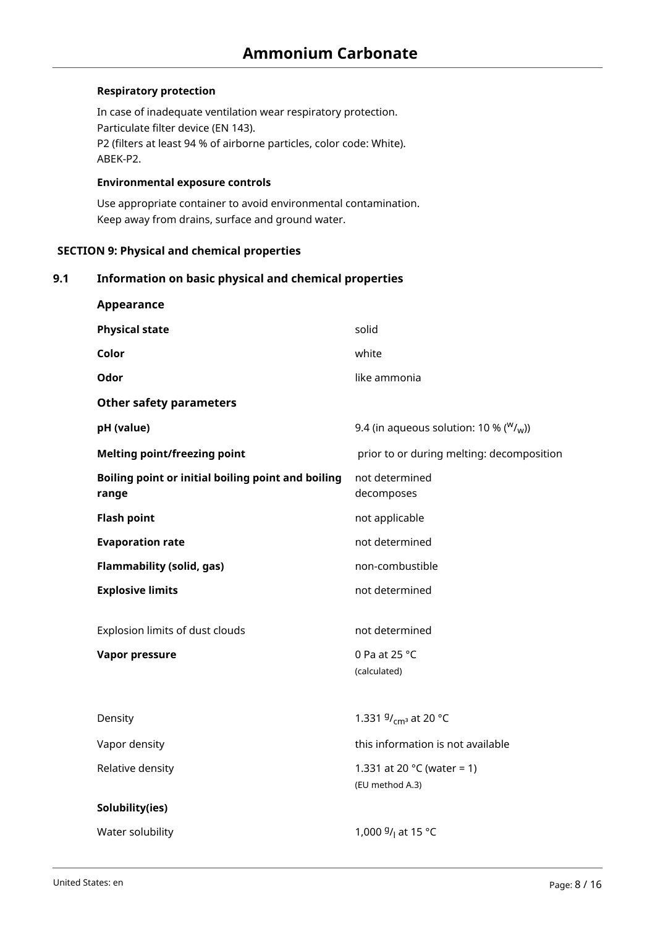## **Respiratory protection**

In case of inadequate ventilation wear respiratory protection. Particulate filter device (EN 143). P2 (filters at least 94 % of airborne particles, color code: White). ABEK-P2.

#### **Environmental exposure controls**

Use appropriate container to avoid environmental contamination. Keep away from drains, surface and ground water.

## **SECTION 9: Physical and chemical properties**

## **9.1 Information on basic physical and chemical properties**

| Appearance                                                  |                                                         |
|-------------------------------------------------------------|---------------------------------------------------------|
| <b>Physical state</b>                                       | solid                                                   |
| Color                                                       | white                                                   |
| Odor                                                        | like ammonia                                            |
| <b>Other safety parameters</b>                              |                                                         |
| pH (value)                                                  | 9.4 (in aqueous solution: 10 % ( $W/\text{W}$ ))        |
| <b>Melting point/freezing point</b>                         | prior to or during melting: decomposition               |
| Boiling point or initial boiling point and boiling<br>range | not determined<br>decomposes                            |
| <b>Flash point</b>                                          | not applicable                                          |
| <b>Evaporation rate</b>                                     | not determined                                          |
| <b>Flammability (solid, gas)</b>                            | non-combustible                                         |
| <b>Explosive limits</b>                                     | not determined                                          |
| Explosion limits of dust clouds                             | not determined                                          |
| Vapor pressure                                              | 0 Pa at 25 °C<br>(calculated)                           |
|                                                             |                                                         |
| Density                                                     | 1.331 $9/_{cm^3}$ at 20 °C                              |
| Vapor density                                               | this information is not available                       |
| Relative density                                            | 1.331 at 20 $^{\circ}$ C (water = 1)<br>(EU method A.3) |
| Solubility(ies)                                             |                                                         |
| Water solubility                                            | 1,000 $9/$ at 15 °C                                     |
|                                                             |                                                         |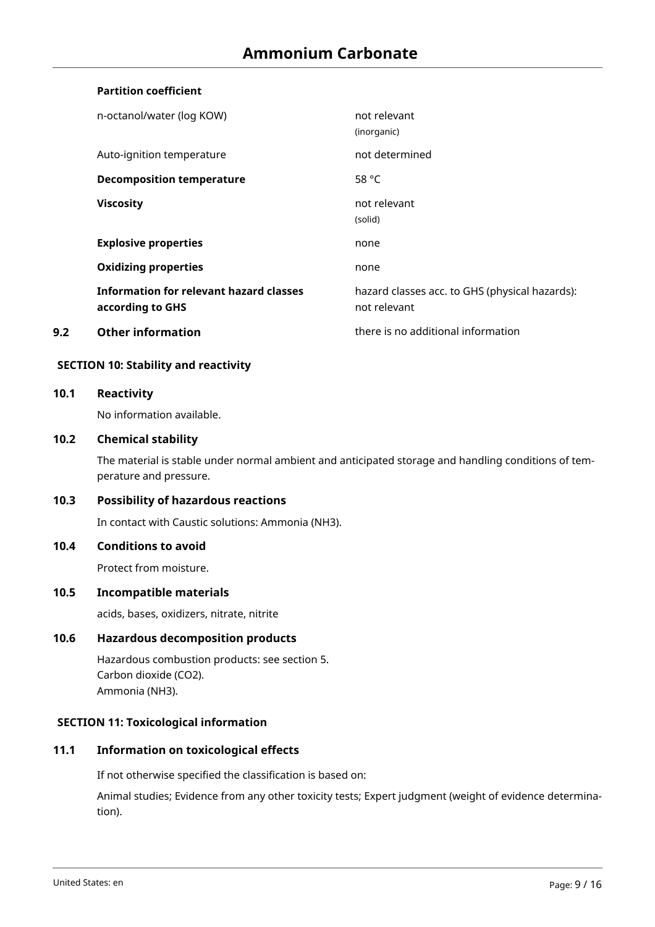# **Partition coefficient**

|     | n-octanol/water (log KOW)                                          | not relevant<br>(inorganic)                                    |
|-----|--------------------------------------------------------------------|----------------------------------------------------------------|
|     | Auto-ignition temperature                                          | not determined                                                 |
|     | <b>Decomposition temperature</b>                                   | 58 $°C$                                                        |
|     | <b>Viscosity</b>                                                   | not relevant<br>(solid)                                        |
|     | <b>Explosive properties</b>                                        | none                                                           |
|     | <b>Oxidizing properties</b>                                        | none                                                           |
|     | <b>Information for relevant hazard classes</b><br>according to GHS | hazard classes acc. to GHS (physical hazards):<br>not relevant |
| 9.2 | <b>Other information</b>                                           | there is no additional information                             |

#### **SECTION 10: Stability and reactivity**

#### **10.1 Reactivity**

No information available.

#### **10.2 Chemical stability**

The material is stable under normal ambient and anticipated storage and handling conditions of temperature and pressure.

# **10.3 Possibility of hazardous reactions**

In contact with Caustic solutions: Ammonia (NH3).

#### **10.4 Conditions to avoid**

Protect from moisture.

#### **10.5 Incompatible materials**

acids, bases, oxidizers, nitrate, nitrite

# **10.6 Hazardous decomposition products**

Hazardous combustion products: see section 5. Carbon dioxide (CO2). Ammonia (NH3).

## **SECTION 11: Toxicological information**

#### **11.1 Information on toxicological effects**

If not otherwise specified the classification is based on:

Animal studies; Evidence from any other toxicity tests; Expert judgment (weight of evidence determination).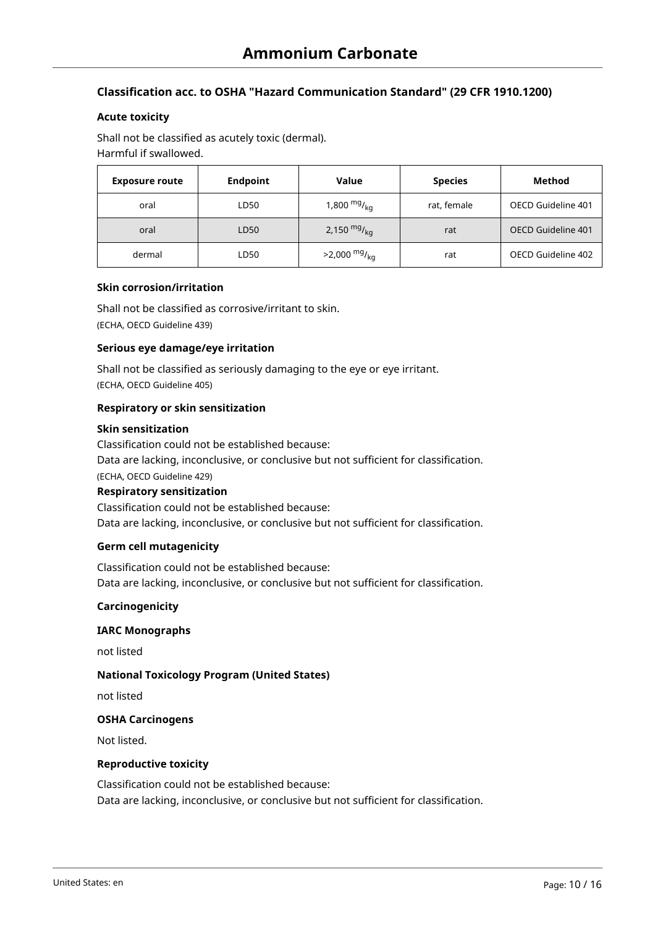## **Classification acc. to OSHA "Hazard Communication Standard" (29 CFR 1910.1200)**

#### **Acute toxicity**

Shall not be classified as acutely toxic (dermal). Harmful if swallowed.

| <b>Exposure route</b> | <b>Endpoint</b> | Value                               | <b>Species</b> | Method             |
|-----------------------|-----------------|-------------------------------------|----------------|--------------------|
| oral                  | LD50            | 1,800 <sup>mg</sup> / <sub>ka</sub> | rat, female    | OECD Guideline 401 |
| oral                  | LD50            | 2,150 $mg/_{kq}$                    | rat            | OECD Guideline 401 |
| dermal                | LD50            | $>2,000$ mg/ <sub>ka</sub>          | rat            | OECD Guideline 402 |

#### **Skin corrosion/irritation**

Shall not be classified as corrosive/irritant to skin. (ECHA, OECD Guideline 439)

#### **Serious eye damage/eye irritation**

Shall not be classified as seriously damaging to the eye or eye irritant. (ECHA, OECD Guideline 405)

#### **Respiratory or skin sensitization**

#### **Skin sensitization**

Classification could not be established because: Data are lacking, inconclusive, or conclusive but not sufficient for classification. (ECHA, OECD Guideline 429) **Respiratory sensitization** Classification could not be established because:

Data are lacking, inconclusive, or conclusive but not sufficient for classification.

#### **Germ cell mutagenicity**

Classification could not be established because: Data are lacking, inconclusive, or conclusive but not sufficient for classification.

#### **Carcinogenicity**

#### **IARC Monographs**

not listed

#### **National Toxicology Program (United States)**

not listed

#### **OSHA Carcinogens**

Not listed.

### **Reproductive toxicity**

Classification could not be established because: Data are lacking, inconclusive, or conclusive but not sufficient for classification.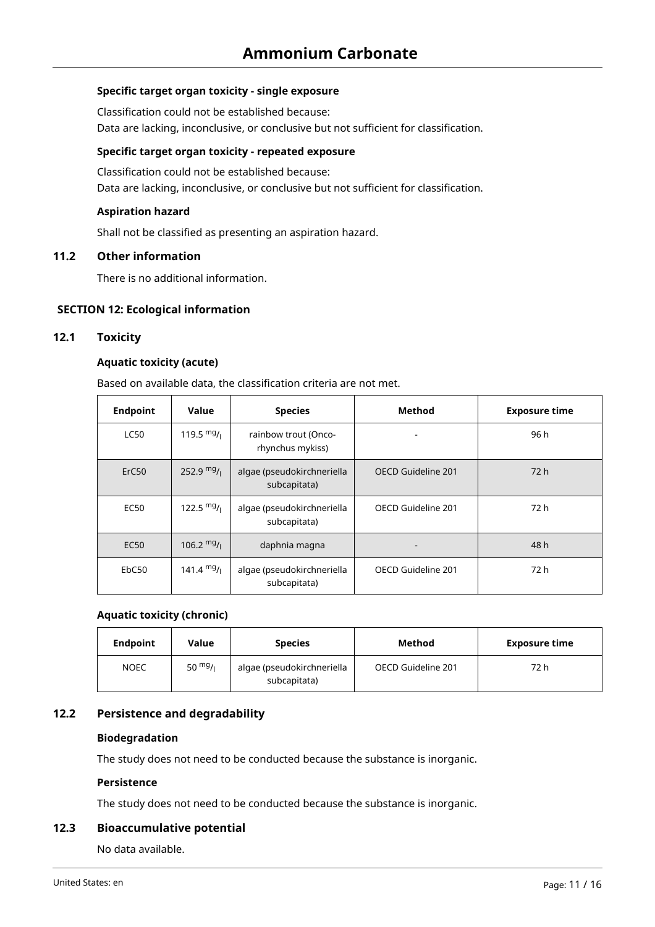## **Specific target organ toxicity - single exposure**

Classification could not be established because: Data are lacking, inconclusive, or conclusive but not sufficient for classification.

## **Specific target organ toxicity - repeated exposure**

Classification could not be established because: Data are lacking, inconclusive, or conclusive but not sufficient for classification.

## **Aspiration hazard**

Shall not be classified as presenting an aspiration hazard.

#### **11.2 Other information**

There is no additional information.

## **SECTION 12: Ecological information**

#### **12.1 Toxicity**

## **Aquatic toxicity (acute)**

Based on available data, the classification criteria are not met.

| <b>Endpoint</b>   | Value                | <b>Species</b>                             | Method             | <b>Exposure time</b> |
|-------------------|----------------------|--------------------------------------------|--------------------|----------------------|
| <b>LC50</b>       | 119.5 $mg/1$         | rainbow trout (Onco-<br>rhynchus mykiss)   |                    | 96 h                 |
| ErC <sub>50</sub> | 252.9 $mg/1$         | algae (pseudokirchneriella<br>subcapitata) | OECD Guideline 201 | 72 h                 |
| <b>EC50</b>       | 122.5 $mg/1$         | algae (pseudokirchneriella<br>subcapitata) | OECD Guideline 201 | 72 h                 |
| EC50              | $106.2 \frac{mg}{l}$ | daphnia magna                              |                    | 48 h                 |
| EbC50             | $141.4 \text{ mg}/1$ | algae (pseudokirchneriella<br>subcapitata) | OECD Guideline 201 | 72 h                 |

#### **Aquatic toxicity (chronic)**

| <b>Endpoint</b> | Value     | <b>Species</b>                             | Method             | <b>Exposure time</b> |
|-----------------|-----------|--------------------------------------------|--------------------|----------------------|
| <b>NOEC</b>     | 50 $mg/1$ | algae (pseudokirchneriella<br>subcapitata) | OECD Guideline 201 | 72 h                 |

#### **12.2 Persistence and degradability**

#### **Biodegradation**

The study does not need to be conducted because the substance is inorganic.

#### **Persistence**

The study does not need to be conducted because the substance is inorganic.

#### **12.3 Bioaccumulative potential**

No data available.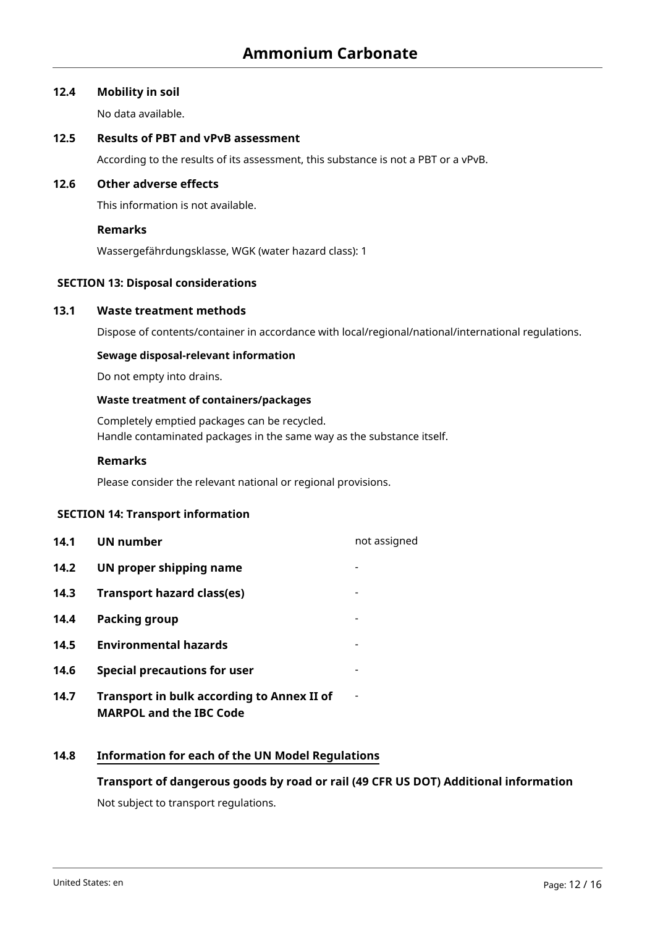#### **12.4 Mobility in soil**

No data available.

## **12.5 Results of PBT and vPvB assessment**

According to the results of its assessment, this substance is not a PBT or a vPvB.

## **12.6 Other adverse effects**

This information is not available.

## **Remarks**

Wassergefährdungsklasse, WGK (water hazard class): 1

# **SECTION 13: Disposal considerations**

## **13.1 Waste treatment methods**

Dispose of contents/container in accordance with local/regional/national/international regulations.

#### **Sewage disposal-relevant information**

Do not empty into drains.

#### **Waste treatment of containers/packages**

Completely emptied packages can be recycled. Handle contaminated packages in the same way as the substance itself.

#### **Remarks**

Please consider the relevant national or regional provisions.

#### **SECTION 14: Transport information**

| 14.1 | UN number                                                                           | not assigned |
|------|-------------------------------------------------------------------------------------|--------------|
| 14.2 | UN proper shipping name                                                             |              |
| 14.3 | <b>Transport hazard class(es)</b>                                                   |              |
| 14.4 | Packing group                                                                       |              |
| 14.5 | <b>Environmental hazards</b>                                                        |              |
| 14.6 | <b>Special precautions for user</b>                                                 |              |
| 14.7 | <b>Transport in bulk according to Annex II of</b><br><b>MARPOL and the IBC Code</b> |              |

# **14.8 Information for each of the UN Model Regulations**

#### **Transport of dangerous goods by road or rail (49 CFR US DOT) Additional information**

Not subject to transport regulations.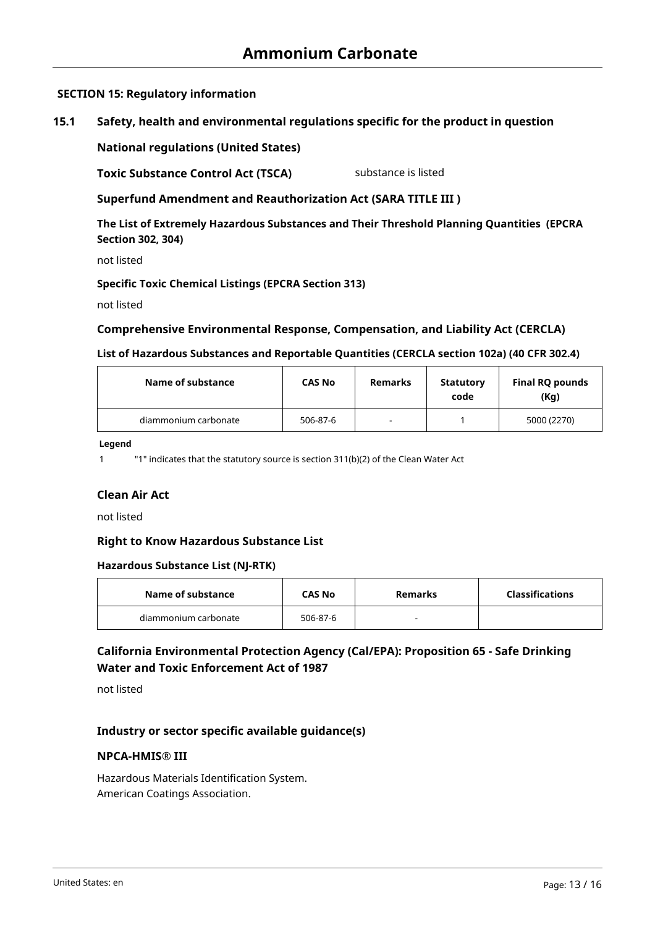# **SECTION 15: Regulatory information**

# **15.1 Safety, health and environmental regulations specific for the product in question**

**National regulations (United States)**

**Toxic Substance Control Act (TSCA)** substance is listed

**Superfund Amendment and Reauthorization Act (SARA TITLE III )**

**The List of Extremely Hazardous Substances and Their Threshold Planning Quantities (EPCRA Section 302, 304)**

not listed

#### **Specific Toxic Chemical Listings (EPCRA Section 313)**

not listed

## **Comprehensive Environmental Response, Compensation, and Liability Act (CERCLA)**

#### **List of Hazardous Substances and Reportable Quantities (CERCLA section 102a) (40 CFR 302.4)**

| Name of substance    | <b>CAS No</b> | Remarks        | <b>Statutory</b><br>code | Final RQ pounds<br>(Kq) |
|----------------------|---------------|----------------|--------------------------|-------------------------|
| diammonium carbonate | 506-87-6      | $\blacksquare$ |                          | 5000 (2270)             |

**Legend**

1 "1" indicates that the statutory source is section 311(b)(2) of the Clean Water Act

#### **Clean Air Act**

not listed

#### **Right to Know Hazardous Substance List**

#### **Hazardous Substance List (NJ-RTK)**

| Name of substance    | <b>CAS No</b> | Remarks | <b>Classifications</b> |
|----------------------|---------------|---------|------------------------|
| diammonium carbonate | 506-87-6      |         |                        |

# **California Environmental Protection Agency (Cal/EPA): Proposition 65 - Safe Drinking Water and Toxic Enforcement Act of 1987**

not listed

# **Industry or sector specific available guidance(s)**

#### **NPCA-HMIS® III**

Hazardous Materials Identification System. American Coatings Association.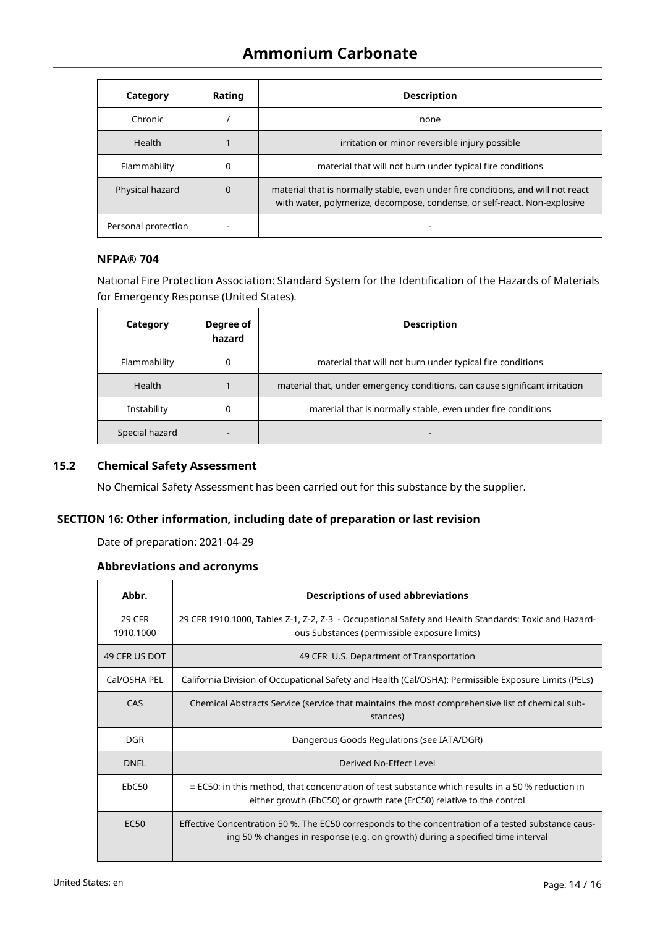| Category            | Rating   | <b>Description</b>                                                                                                                                            |
|---------------------|----------|---------------------------------------------------------------------------------------------------------------------------------------------------------------|
| Chronic             |          | none                                                                                                                                                          |
| Health              |          | irritation or minor reversible injury possible                                                                                                                |
| Flammability        | 0        | material that will not burn under typical fire conditions                                                                                                     |
| Physical hazard     | $\Omega$ | material that is normally stable, even under fire conditions, and will not react<br>with water, polymerize, decompose, condense, or self-react. Non-explosive |
| Personal protection |          |                                                                                                                                                               |

# **NFPA® 704**

National Fire Protection Association: Standard System for the Identification of the Hazards of Materials for Emergency Response (United States).

| Category       | Degree of<br>hazard | <b>Description</b>                                                          |
|----------------|---------------------|-----------------------------------------------------------------------------|
| Flammability   | 0                   | material that will not burn under typical fire conditions                   |
| <b>Health</b>  |                     | material that, under emergency conditions, can cause significant irritation |
| Instability    |                     | material that is normally stable, even under fire conditions                |
| Special hazard |                     |                                                                             |

## **15.2 Chemical Safety Assessment**

No Chemical Safety Assessment has been carried out for this substance by the supplier.

## **SECTION 16: Other information, including date of preparation or last revision**

Date of preparation: 2021-04-29

## **Abbreviations and acronyms**

| Abbr.                      | <b>Descriptions of used abbreviations</b>                                                                                                                                             |  |  |
|----------------------------|---------------------------------------------------------------------------------------------------------------------------------------------------------------------------------------|--|--|
| <b>29 CFR</b><br>1910.1000 | 29 CFR 1910.1000, Tables Z-1, Z-2, Z-3 - Occupational Safety and Health Standards: Toxic and Hazard-<br>ous Substances (permissible exposure limits)                                  |  |  |
| 49 CFR US DOT              | 49 CFR U.S. Department of Transportation                                                                                                                                              |  |  |
| Cal/OSHA PEL               | California Division of Occupational Safety and Health (Cal/OSHA): Permissible Exposure Limits (PELs)                                                                                  |  |  |
| CAS                        | Chemical Abstracts Service (service that maintains the most comprehensive list of chemical sub-<br>stances)                                                                           |  |  |
| DGR.                       | Dangerous Goods Regulations (see IATA/DGR)                                                                                                                                            |  |  |
| <b>DNEL</b>                | Derived No-Effect Level                                                                                                                                                               |  |  |
| EbC <sub>50</sub>          | $\equiv$ EC50: in this method, that concentration of test substance which results in a 50 % reduction in<br>either growth (EbC50) or growth rate (ErC50) relative to the control      |  |  |
| EC <sub>50</sub>           | Effective Concentration 50 %. The EC50 corresponds to the concentration of a tested substance caus-<br>ing 50 % changes in response (e.g. on growth) during a specified time interval |  |  |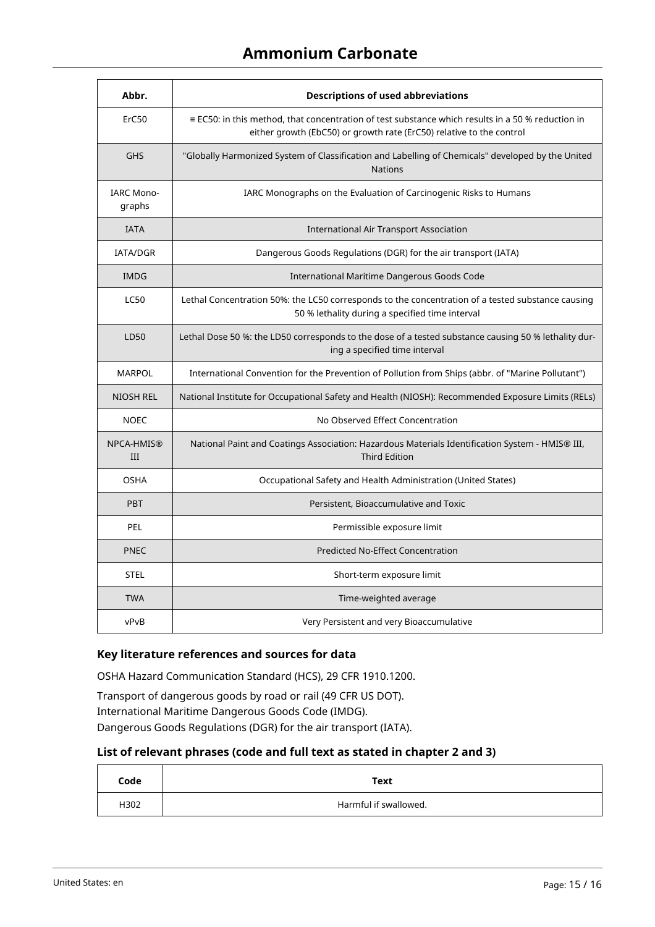# **Ammonium Carbonate**

| Abbr.                                                                                                                                                                                     | <b>Descriptions of used abbreviations</b>                                                                                                            |  |
|-------------------------------------------------------------------------------------------------------------------------------------------------------------------------------------------|------------------------------------------------------------------------------------------------------------------------------------------------------|--|
| ErC50<br>$\equiv$ EC50: in this method, that concentration of test substance which results in a 50 % reduction in<br>either growth (EbC50) or growth rate (ErC50) relative to the control |                                                                                                                                                      |  |
| "Globally Harmonized System of Classification and Labelling of Chemicals" developed by the United<br><b>GHS</b><br><b>Nations</b>                                                         |                                                                                                                                                      |  |
| <b>IARC Mono-</b><br>graphs                                                                                                                                                               | IARC Monographs on the Evaluation of Carcinogenic Risks to Humans                                                                                    |  |
| <b>IATA</b>                                                                                                                                                                               | <b>International Air Transport Association</b>                                                                                                       |  |
| IATA/DGR                                                                                                                                                                                  | Dangerous Goods Regulations (DGR) for the air transport (IATA)                                                                                       |  |
| <b>IMDG</b>                                                                                                                                                                               | International Maritime Dangerous Goods Code                                                                                                          |  |
| <b>LC50</b>                                                                                                                                                                               | Lethal Concentration 50%: the LC50 corresponds to the concentration of a tested substance causing<br>50 % lethality during a specified time interval |  |
| LD50                                                                                                                                                                                      | Lethal Dose 50 %: the LD50 corresponds to the dose of a tested substance causing 50 % lethality dur-<br>ing a specified time interval                |  |
| <b>MARPOL</b>                                                                                                                                                                             | International Convention for the Prevention of Pollution from Ships (abbr. of "Marine Pollutant")                                                    |  |
| NIOSH REL<br>National Institute for Occupational Safety and Health (NIOSH): Recommended Exposure Limits (RELs)                                                                            |                                                                                                                                                      |  |
| No Observed Effect Concentration<br><b>NOEC</b>                                                                                                                                           |                                                                                                                                                      |  |
| NPCA-HMIS®<br>III                                                                                                                                                                         | National Paint and Coatings Association: Hazardous Materials Identification System - HMIS® III,<br><b>Third Edition</b>                              |  |
| <b>OSHA</b>                                                                                                                                                                               | Occupational Safety and Health Administration (United States)                                                                                        |  |
| Persistent, Bioaccumulative and Toxic<br><b>PBT</b>                                                                                                                                       |                                                                                                                                                      |  |
| PEL<br>Permissible exposure limit                                                                                                                                                         |                                                                                                                                                      |  |
| <b>PNEC</b><br><b>Predicted No-Effect Concentration</b>                                                                                                                                   |                                                                                                                                                      |  |
| <b>STEL</b>                                                                                                                                                                               | Short-term exposure limit                                                                                                                            |  |
| <b>TWA</b>                                                                                                                                                                                | Time-weighted average                                                                                                                                |  |
| vPvB                                                                                                                                                                                      | Very Persistent and very Bioaccumulative                                                                                                             |  |

# **Key literature references and sources for data**

OSHA Hazard Communication Standard (HCS), 29 CFR 1910.1200.

Transport of dangerous goods by road or rail (49 CFR US DOT). International Maritime Dangerous Goods Code (IMDG). Dangerous Goods Regulations (DGR) for the air transport (IATA).

#### **List of relevant phrases (code and full text as stated in chapter 2 and 3)**

| Code | Text                  |
|------|-----------------------|
| H302 | Harmful if swallowed. |